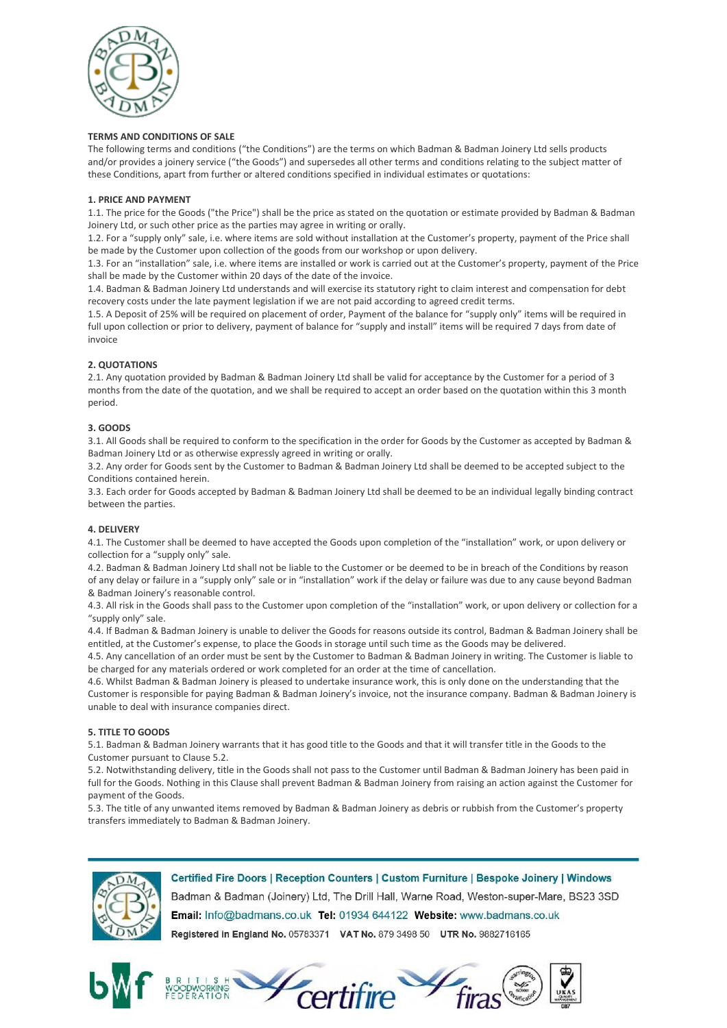

## **TERMS AND CONDITIONS OF SALE**

The following terms and conditions ("the Conditions") are the terms on which Badman & Badman Joinery Ltd sells products and/or provides a joinery service ("the Goods") and supersedes all other terms and conditions relating to the subject matter of these Conditions, apart from further or altered conditions specified in individual estimates or quotations:

## **1. PRICE AND PAYMENT**

1.1. The price for the Goods ("the Price") shall be the price as stated on the quotation or estimate provided by Badman & Badman Joinery Ltd, or such other price as the parties may agree in writing or orally.

1.2. For a "supply only" sale, i.e. where items are sold without installation at the Customer's property, payment of the Price shall be made by the Customer upon collection of the goods from our workshop or upon delivery.

1.3. For an "installation" sale, i.e. where items are installed or work is carried out at the Customer's property, payment of the Price shall be made by the Customer within 20 days of the date of the invoice.

1.4. Badman & Badman Joinery Ltd understands and will exercise its statutory right to claim interest and compensation for debt recovery costs under the late payment legislation if we are not paid according to agreed credit terms.

1.5. A Deposit of 25% will be required on placement of order, Payment of the balance for "supply only" items will be required in full upon collection or prior to delivery, payment of balance for "supply and install" items will be required 7 days from date of invoice

# **2. QUOTATIONS**

2.1. Any quotation provided by Badman & Badman Joinery Ltd shall be valid for acceptance by the Customer for a period of 3 months from the date of the quotation, and we shall be required to accept an order based on the quotation within this 3 month period.

# **3. GOODS**

3.1. All Goods shall be required to conform to the specification in the order for Goods by the Customer as accepted by Badman & Badman Joinery Ltd or as otherwise expressly agreed in writing or orally.

3.2. Any order for Goods sent by the Customer to Badman & Badman Joinery Ltd shall be deemed to be accepted subject to the Conditions contained herein.

3.3. Each order for Goods accepted by Badman & Badman Joinery Ltd shall be deemed to be an individual legally binding contract between the parties.

# **4. DELIVERY**

4.1. The Customer shall be deemed to have accepted the Goods upon completion of the "installation" work, or upon delivery or collection for a "supply only" sale.

4.2. Badman & Badman Joinery Ltd shall not be liable to the Customer or be deemed to be in breach of the Conditions by reason of any delay or failure in a "supply only" sale or in "installation" work if the delay or failure was due to any cause beyond Badman & Badman Joinery's reasonable control.

4.3. All risk in the Goods shall pass to the Customer upon completion of the "installation" work, or upon delivery or collection for a "supply only" sale.

4.4. If Badman & Badman Joinery is unable to deliver the Goods for reasons outside its control, Badman & Badman Joinery shall be entitled, at the Customer's expense, to place the Goods in storage until such time as the Goods may be delivered.

4.5. Any cancellation of an order must be sent by the Customer to Badman & Badman Joinery in writing. The Customer is liable to be charged for any materials ordered or work completed for an order at the time of cancellation.

4.6. Whilst Badman & Badman Joinery is pleased to undertake insurance work, this is only done on the understanding that the Customer is responsible for paying Badman & Badman Joinery's invoice, not the insurance company. Badman & Badman Joinery is unable to deal with insurance companies direct.

# **5. TITLE TO GOODS**

5.1. Badman & Badman Joinery warrants that it has good title to the Goods and that it will transfer title in the Goods to the Customer pursuant to Clause 5.2.

5.2. Notwithstanding delivery, title in the Goods shall not pass to the Customer until Badman & Badman Joinery has been paid in full for the Goods. Nothing in this Clause shall prevent Badman & Badman Joinery from raising an action against the Customer for payment of the Goods.

5.3. The title of any unwanted items removed by Badman & Badman Joinery as debris or rubbish from the Customer's property transfers immediately to Badman & Badman Joinery.



Certified Fire Doors | Reception Counters | Custom Furniture | Bespoke Joinery | Windows Badman & Badman (Joinery) Ltd, The Drill Hall, Warne Road, Weston-super-Mare, BS23 3SD Email: Info@badmans.co.uk Tel: 01934 644122 Website: www.badmans.co.uk Registered in England No. 05783371 VAT No. 879 3498 50 UTR No. 9882716165